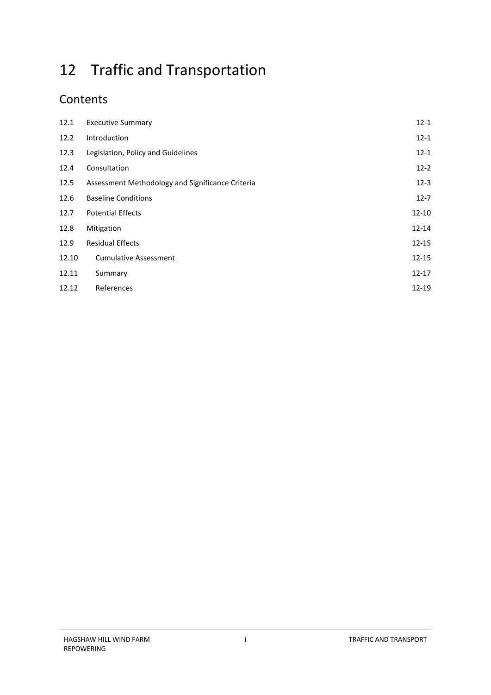# 12 Traffic and Transportation

## **Contents**

| 12.1  | <b>Executive Summary</b>                         | $12 - 1$  |
|-------|--------------------------------------------------|-----------|
| 12.2  | Introduction                                     | $12 - 1$  |
| 12.3  | Legislation, Policy and Guidelines               | $12 - 1$  |
| 12.4  | Consultation                                     | $12 - 2$  |
| 12.5  | Assessment Methodology and Significance Criteria | $12 - 3$  |
| 12.6  | <b>Baseline Conditions</b>                       | $12 - 7$  |
| 12.7  | <b>Potential Effects</b>                         | $12 - 10$ |
| 12.8  | Mitigation                                       | 12-14     |
| 12.9  | <b>Residual Effects</b>                          | $12 - 15$ |
| 12.10 | <b>Cumulative Assessment</b>                     | $12 - 15$ |
| 12.11 | Summary                                          | $12 - 17$ |
| 12.12 | References                                       | 12-19     |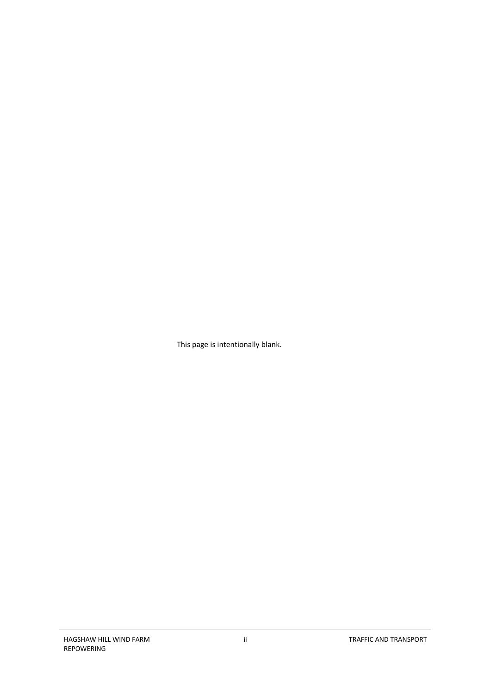This page is intentionally blank.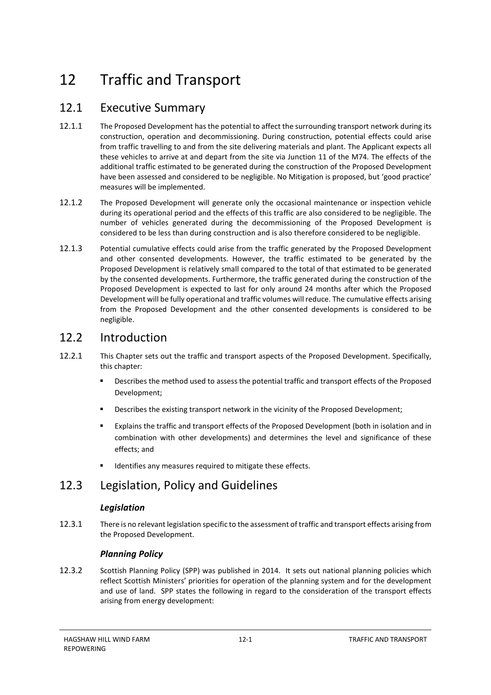# 12 Traffic and Transport

## <span id="page-2-0"></span>12.1 Executive Summary

- 12.1.1 The Proposed Development has the potential to affect the surrounding transport network during its construction, operation and decommissioning. During construction, potential effects could arise from traffic travelling to and from the site delivering materials and plant. The Applicant expects all these vehicles to arrive at and depart from the site via Junction 11 of the M74. The effects of the additional traffic estimated to be generated during the construction of the Proposed Development have been assessed and considered to be negligible. No Mitigation is proposed, but 'good practice' measures will be implemented.
- 12.1.2 The Proposed Development will generate only the occasional maintenance or inspection vehicle during its operational period and the effects of this traffic are also considered to be negligible. The number of vehicles generated during the decommissioning of the Proposed Development is considered to be less than during construction and is also therefore considered to be negligible.
- 12.1.3 Potential cumulative effects could arise from the traffic generated by the Proposed Development and other consented developments. However, the traffic estimated to be generated by the Proposed Development is relatively small compared to the total of that estimated to be generated by the consented developments. Furthermore, the traffic generated during the construction of the Proposed Development is expected to last for only around 24 months after which the Proposed Development will be fully operational and traffic volumes will reduce. The cumulative effects arising from the Proposed Development and the other consented developments is considered to be negligible.

## <span id="page-2-1"></span>12.2 Introduction

- 12.2.1 This Chapter sets out the traffic and transport aspects of the Proposed Development. Specifically, this chapter:
	- **•** Describes the method used to assess the potential traffic and transport effects of the Proposed Development;
	- **•** Describes the existing transport network in the vicinity of the Proposed Development;
	- Explains the traffic and transport effects of the Proposed Development (both in isolation and in combination with other developments) and determines the level and significance of these effects; and
	- **IDENTIFIELD IDENT** Identifies any measures required to mitigate these effects.

## <span id="page-2-2"></span>12.3 Legislation, Policy and Guidelines

## *Legislation*

12.3.1 There is no relevant legislation specific to the assessment of traffic and transport effects arising from the Proposed Development.

## *Planning Policy*

12.3.2 Scottish Planning Policy (SPP) was published in 2014. It sets out national planning policies which reflect Scottish Ministers' priorities for operation of the planning system and for the development and use of land. SPP states the following in regard to the consideration of the transport effects arising from energy development: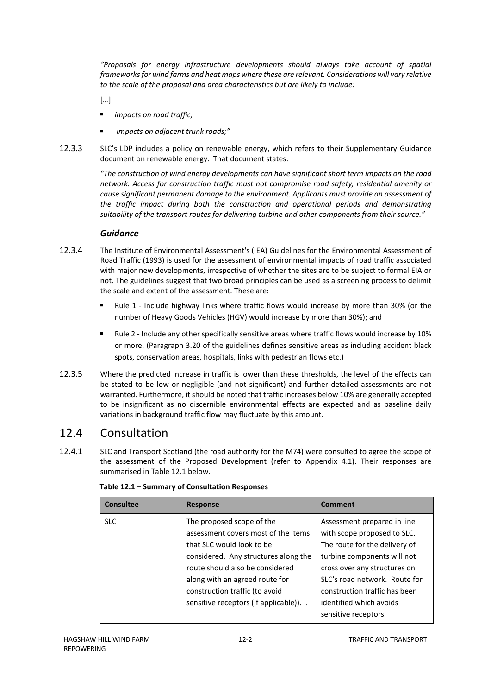*"Proposals for energy infrastructure developments should always take account of spatial frameworks for wind farms and heat maps where these are relevant. Considerations will vary relative to the scale of the proposal and area characteristics but are likely to include:*

[…]

- *impacts on road traffic;*
- *impacts on adjacent trunk roads;"*
- 12.3.3 SLC's LDP includes a policy on renewable energy, which refers to their Supplementary Guidance document on renewable energy. That document states:

*"The construction of wind energy developments can have significant short term impacts on the road network. Access for construction traffic must not compromise road safety, residential amenity or cause significant permanent damage to the environment. Applicants must provide an assessment of the traffic impact during both the construction and operational periods and demonstrating suitability of the transport routes for delivering turbine and other components from their source."*

## *Guidance*

- 12.3.4 The Institute of Environmental Assessment's (IEA) Guidelines for the Environmental Assessment of Road Traffic (1993) is used for the assessment of environmental impacts of road traffic associated with major new developments, irrespective of whether the sites are to be subject to formal EIA or not. The guidelines suggest that two broad principles can be used as a screening process to delimit the scale and extent of the assessment. These are:
	- Rule 1 Include highway links where traffic flows would increase by more than 30% (or the number of Heavy Goods Vehicles (HGV) would increase by more than 30%); and
	- Rule 2 Include any other specifically sensitive areas where traffic flows would increase by 10% or more. (Paragraph 3.20 of the guidelines defines sensitive areas as including accident black spots, conservation areas, hospitals, links with pedestrian flows etc.)
- 12.3.5 Where the predicted increase in traffic is lower than these thresholds, the level of the effects can be stated to be low or negligible (and not significant) and further detailed assessments are not warranted. Furthermore, it should be noted that traffic increases below 10% are generally accepted to be insignificant as no discernible environmental effects are expected and as baseline daily variations in background traffic flow may fluctuate by this amount.

## <span id="page-3-0"></span>12.4 Consultation

<span id="page-3-1"></span>12.4.1 SLC and Transport Scotland (the road authority for the M74) were consulted to agree the scope of the assessment of the Proposed Development (refer to Appendix 4.1). Their responses are summarised in [Table 12.1](#page-3-1) [below.](#page-3-1)

| <b>Consultee</b> | <b>Response</b>                                                                                                                                                                                                                                                                      | Comment                                                                                                                                                                                                                                                                         |
|------------------|--------------------------------------------------------------------------------------------------------------------------------------------------------------------------------------------------------------------------------------------------------------------------------------|---------------------------------------------------------------------------------------------------------------------------------------------------------------------------------------------------------------------------------------------------------------------------------|
| <b>SLC</b>       | The proposed scope of the<br>assessment covers most of the items<br>that SLC would look to be<br>considered. Any structures along the<br>route should also be considered<br>along with an agreed route for<br>construction traffic (to avoid<br>sensitive receptors (if applicable)) | Assessment prepared in line<br>with scope proposed to SLC.<br>The route for the delivery of<br>turbine components will not<br>cross over any structures on<br>SLC's road network. Route for<br>construction traffic has been<br>identified which avoids<br>sensitive receptors. |
|                  |                                                                                                                                                                                                                                                                                      |                                                                                                                                                                                                                                                                                 |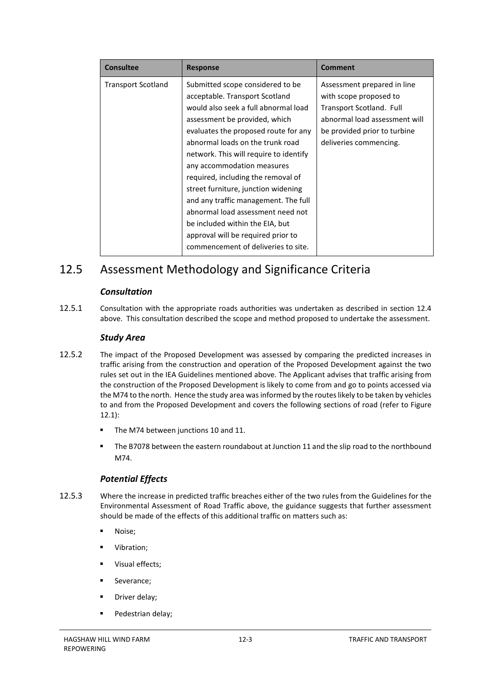| <b>Consultee</b>          | <b>Response</b>                                                                                                                                                                                                                                                                                                                       | <b>Comment</b>                                                                                                                                                               |
|---------------------------|---------------------------------------------------------------------------------------------------------------------------------------------------------------------------------------------------------------------------------------------------------------------------------------------------------------------------------------|------------------------------------------------------------------------------------------------------------------------------------------------------------------------------|
| <b>Transport Scotland</b> | Submitted scope considered to be<br>acceptable. Transport Scotland<br>would also seek a full abnormal load<br>assessment be provided, which<br>evaluates the proposed route for any<br>abnormal loads on the trunk road<br>network. This will require to identify<br>any accommodation measures<br>required, including the removal of | Assessment prepared in line<br>with scope proposed to<br>Transport Scotland. Full<br>abnormal load assessment will<br>be provided prior to turbine<br>deliveries commencing. |
|                           | street furniture, junction widening<br>and any traffic management. The full<br>abnormal load assessment need not<br>be included within the EIA, but<br>approval will be required prior to<br>commencement of deliveries to site.                                                                                                      |                                                                                                                                                                              |

## <span id="page-4-0"></span>12.5 Assessment Methodology and Significance Criteria

## *Consultation*

12.5.1 Consultation with the appropriate roads authorities was undertaken as described in section [12.4](#page-3-0) [above.](#page-3-0) This consultation described the scope and method proposed to undertake the assessment.

## *Study Area*

- 12.5.2 The impact of the Proposed Development was assessed by comparing the predicted increases in traffic arising from the construction and operation of the Proposed Development against the two rules set out in the IEA Guidelines mentioned above. The Applicant advises that traffic arising from the construction of the Proposed Development is likely to come from and go to points accessed via the M74 to the north. Hence the study area was informed by the routes likely to be taken by vehicles to and from the Proposed Development and covers the following sections of road (refer to Figure 12.1):
	- The M74 between junctions 10 and 11.
	- **The B7078 between the eastern roundabout at Junction 11 and the slip road to the northbound** M74.

## *Potential Effects*

- 12.5.3 Where the increase in predicted traffic breaches either of the two rules from the Guidelines for the Environmental Assessment of Road Traffic above, the guidance suggests that further assessment should be made of the effects of this additional traffic on matters such as:
	- Noise;
	- **U** Vibration:
	- **visual effects;**
	- **Severance;**
	- **Driver delay;**
	- **Pedestrian delay;**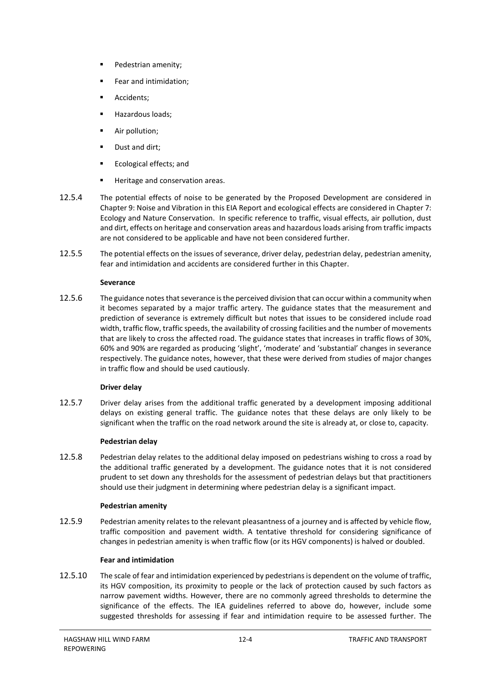- Pedestrian amenity;
- Fear and intimidation;
- Accidents;
- Hazardous loads;
- **Air pollution;**
- **Dust and dirt;**
- **Ecological effects; and**
- **Heritage and conservation areas.**
- 12.5.4 The potential effects of noise to be generated by the Proposed Development are considered in Chapter 9: Noise and Vibration in this EIA Report and ecological effects are considered in Chapter 7: Ecology and Nature Conservation. In specific reference to traffic, visual effects, air pollution, dust and dirt, effects on heritage and conservation areas and hazardous loads arising from traffic impacts are not considered to be applicable and have not been considered further.
- 12.5.5 The potential effects on the issues of severance, driver delay, pedestrian delay, pedestrian amenity, fear and intimidation and accidents are considered further in this Chapter.

#### **Severance**

12.5.6 The guidance notes that severance is the perceived division that can occur within a community when it becomes separated by a major traffic artery. The guidance states that the measurement and prediction of severance is extremely difficult but notes that issues to be considered include road width, traffic flow, traffic speeds, the availability of crossing facilities and the number of movements that are likely to cross the affected road. The guidance states that increases in traffic flows of 30%, 60% and 90% are regarded as producing 'slight', 'moderate' and 'substantial' changes in severance respectively. The guidance notes, however, that these were derived from studies of major changes in traffic flow and should be used cautiously.

### **Driver delay**

12.5.7 Driver delay arises from the additional traffic generated by a development imposing additional delays on existing general traffic. The guidance notes that these delays are only likely to be significant when the traffic on the road network around the site is already at, or close to, capacity.

### **Pedestrian delay**

12.5.8 Pedestrian delay relates to the additional delay imposed on pedestrians wishing to cross a road by the additional traffic generated by a development. The guidance notes that it is not considered prudent to set down any thresholds for the assessment of pedestrian delays but that practitioners should use their judgment in determining where pedestrian delay is a significant impact.

### **Pedestrian amenity**

12.5.9 Pedestrian amenity relates to the relevant pleasantness of a journey and is affected by vehicle flow, traffic composition and pavement width. A tentative threshold for considering significance of changes in pedestrian amenity is when traffic flow (or its HGV components) is halved or doubled.

### **Fear and intimidation**

12.5.10 The scale of fear and intimidation experienced by pedestrians is dependent on the volume of traffic, its HGV composition, its proximity to people or the lack of protection caused by such factors as narrow pavement widths. However, there are no commonly agreed thresholds to determine the significance of the effects. The IEA guidelines referred to above do, however, include some suggested thresholds for assessing if fear and intimidation require to be assessed further. The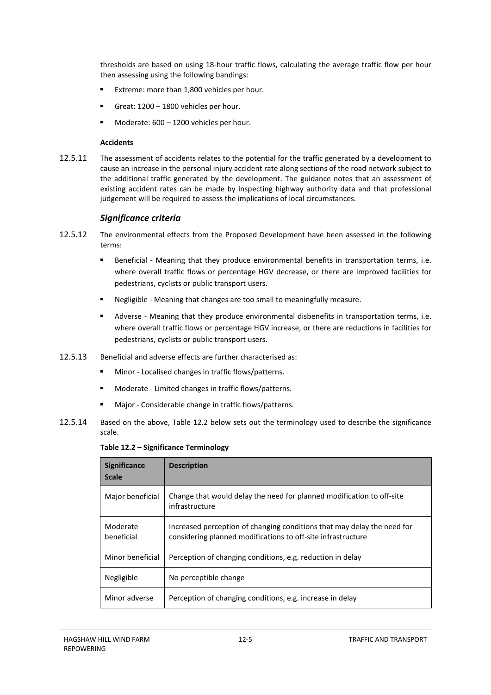thresholds are based on using 18-hour traffic flows, calculating the average traffic flow per hour then assessing using the following bandings:

- **Extreme: more than 1,800 vehicles per hour.**
- Great: 1200 1800 vehicles per hour.
- Moderate: 600 1200 vehicles per hour.

#### **Accidents**

12.5.11 The assessment of accidents relates to the potential for the traffic generated by a development to cause an increase in the personal injury accident rate along sections of the road network subject to the additional traffic generated by the development. The guidance notes that an assessment of existing accident rates can be made by inspecting highway authority data and that professional judgement will be required to assess the implications of local circumstances.

### *Significance criteria*

- 12.5.12 The environmental effects from the Proposed Development have been assessed in the following terms:
	- **Beneficial Meaning that they produce environmental benefits in transportation terms, i.e.** where overall traffic flows or percentage HGV decrease, or there are improved facilities for pedestrians, cyclists or public transport users.
	- Negligible Meaning that changes are too small to meaningfully measure.
	- Adverse Meaning that they produce environmental disbenefits in transportation terms, i.e. where overall traffic flows or percentage HGV increase, or there are reductions in facilities for pedestrians, cyclists or public transport users.
- 12.5.13 Beneficial and adverse effects are further characterised as:
	- **Minor Localised changes in traffic flows/patterns.**
	- **Moderate Limited changes in traffic flows/patterns.**
	- Major Considerable change in traffic flows/patterns.
- <span id="page-6-0"></span>12.5.14 Based on the above, [Table 12.2](#page-6-0) [below](#page-6-0) sets out the terminology used to describe the significance scale.

**Table 12.2 – Significance Terminology**

| <b>Significance</b><br><b>Scale</b> | <b>Description</b>                                                                                                                      |
|-------------------------------------|-----------------------------------------------------------------------------------------------------------------------------------------|
| Major beneficial                    | Change that would delay the need for planned modification to off-site<br>infrastructure                                                 |
| Moderate<br>beneficial              | Increased perception of changing conditions that may delay the need for<br>considering planned modifications to off-site infrastructure |
| Minor beneficial                    | Perception of changing conditions, e.g. reduction in delay                                                                              |
| Negligible                          | No perceptible change                                                                                                                   |
| Minor adverse                       | Perception of changing conditions, e.g. increase in delay                                                                               |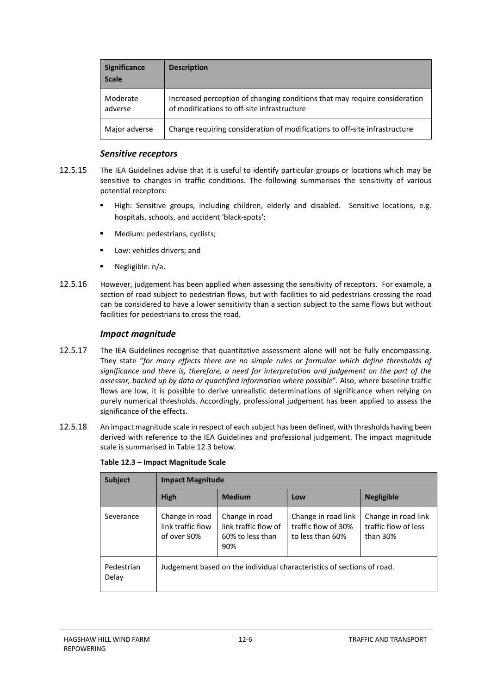| <b>Significance</b><br><b>Scale</b> | <b>Description</b>                                                                                                        |
|-------------------------------------|---------------------------------------------------------------------------------------------------------------------------|
| Moderate<br>adverse                 | Increased perception of changing conditions that may require consideration<br>of modifications to off-site infrastructure |
| Major adverse                       | Change requiring consideration of modifications to off-site infrastructure                                                |

## *Sensitive receptors*

- 12.5.15 The IEA Guidelines advise that it is useful to identify particular groups or locations which may be sensitive to changes in traffic conditions. The following summarises the sensitivity of various potential receptors:
	- High: Sensitive groups, including children, elderly and disabled. Sensitive locations, e.g. hospitals, schools, and accident 'black-spots';
	- **Medium: pedestrians, cyclists;**
	- Low: vehicles drivers; and
	- **Negligible:** n/a.
- 12.5.16 However, judgement has been applied when assessing the sensitivity of receptors. For example, a section of road subject to pedestrian flows, but with facilities to aid pedestrians crossing the road can be considered to have a lower sensitivity than a section subject to the same flows but without facilities for pedestrians to cross the road.

## *Impact magnitude*

- 12.5.17 The IEA Guidelines recognise that quantitative assessment alone will not be fully encompassing. They state "*for many effects there are no simple rules or formulae which define thresholds of significance and there is, therefore, a need for interpretation and judgement on the part of the assessor, backed up by data or quantified information where possible*"*.* Also, where baseline traffic flows are low, it is possible to derive unrealistic determinations of significance when relying on purely numerical thresholds. Accordingly, professional judgement has been applied to assess the significance of the effects.
- <span id="page-7-0"></span>12.5.18 An impact magnitude scale in respect of each subject has been defined, with thresholds having been derived with reference to the IEA Guidelines and professional judgement. The impact magnitude scale is summarised in [Table 12.3](#page-7-0) [below.](#page-7-0)

| <b>Subject</b>      | <b>Impact Magnitude</b>                                                |                                                                   |                                                                |                                                           |
|---------------------|------------------------------------------------------------------------|-------------------------------------------------------------------|----------------------------------------------------------------|-----------------------------------------------------------|
|                     | <b>High</b>                                                            | <b>Medium</b>                                                     | Low                                                            | <b>Negligible</b>                                         |
| Severance           | Change in road<br>link traffic flow<br>of over 90%                     | Change in road<br>link traffic flow of<br>60% to less than<br>90% | Change in road link<br>traffic flow of 30%<br>to less than 60% | Change in road link<br>traffic flow of less<br>than $30%$ |
| Pedestrian<br>Delay | Judgement based on the individual characteristics of sections of road. |                                                                   |                                                                |                                                           |

**Table 12.3 – Impact Magnitude Scale**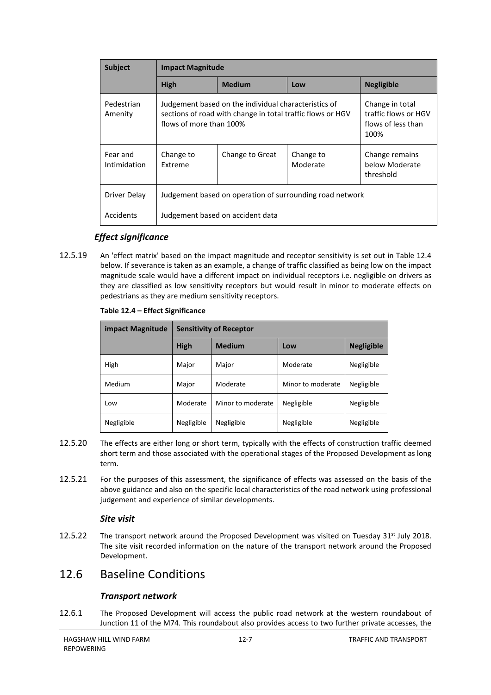| <b>Subject</b>           | <b>Impact Magnitude</b>                                  |                                                                                                                                               |     |                                               |
|--------------------------|----------------------------------------------------------|-----------------------------------------------------------------------------------------------------------------------------------------------|-----|-----------------------------------------------|
|                          | <b>High</b>                                              | <b>Medium</b>                                                                                                                                 | Low | <b>Negligible</b>                             |
| Pedestrian<br>Amenity    |                                                          | Judgement based on the individual characteristics of<br>sections of road with change in total traffic flows or HGV<br>flows of more than 100% |     |                                               |
| Fear and<br>Intimidation | Change to<br>Extreme                                     | Change to<br>Change to Great<br>Moderate                                                                                                      |     | Change remains<br>below Moderate<br>threshold |
| Driver Delay             | Judgement based on operation of surrounding road network |                                                                                                                                               |     |                                               |
| <b>Accidents</b>         | Judgement based on accident data                         |                                                                                                                                               |     |                                               |

## *Effect significance*

12.5.19 An 'effect matrix' based on the impact magnitude and receptor sensitivity is set out in [Table 12.4](#page-8-1) [below.](#page-8-1) If severance is taken as an example, a change of traffic classified as being low on the impact magnitude scale would have a different impact on individual receptors i.e. negligible on drivers as they are classified as low sensitivity receptors but would result in minor to moderate effects on pedestrians as they are medium sensitivity receptors.

| impact Magnitude | <b>Sensitivity of Receptor</b> |                   |                   |                   |  |
|------------------|--------------------------------|-------------------|-------------------|-------------------|--|
|                  | <b>High</b>                    | <b>Medium</b>     | Low               | <b>Negligible</b> |  |
| High             | Major                          | Major             | Moderate          | Negligible        |  |
| Medium           | Major                          | Moderate          | Minor to moderate | Negligible        |  |
| Low              | Moderate                       | Minor to moderate | Negligible        | Negligible        |  |
| Negligible       | Negligible                     | Negligible        | Negligible        | Negligible        |  |

### <span id="page-8-1"></span>**Table 12.4 – Effect Significance**

- 12.5.20 The effects are either long or short term, typically with the effects of construction traffic deemed short term and those associated with the operational stages of the Proposed Development as long term.
- 12.5.21 For the purposes of this assessment, the significance of effects was assessed on the basis of the above guidance and also on the specific local characteristics of the road network using professional judgement and experience of similar developments.

## *Site visit*

12.5.22 The transport network around the Proposed Development was visited on Tuesday 31<sup>st</sup> July 2018. The site visit recorded information on the nature of the transport network around the Proposed Development.

## <span id="page-8-0"></span>12.6 Baseline Conditions

## *Transport network*

12.6.1 The Proposed Development will access the public road network at the western roundabout of Junction 11 of the M74. This roundabout also provides access to two further private accesses, the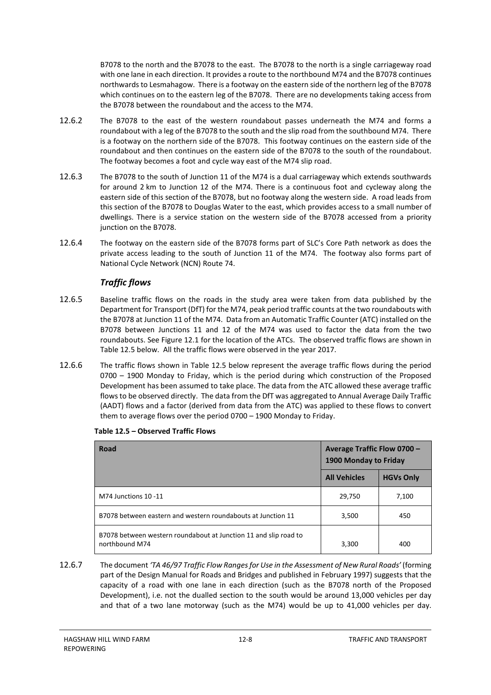B7078 to the north and the B7078 to the east. The B7078 to the north is a single carriageway road with one lane in each direction. It provides a route to the northbound M74 and the B7078 continues northwards to Lesmahagow. There is a footway on the eastern side of the northern leg of the B7078 which continues on to the eastern leg of the B7078. There are no developments taking access from the B7078 between the roundabout and the access to the M74.

- 12.6.2 The B7078 to the east of the western roundabout passes underneath the M74 and forms a roundabout with a leg of the B7078 to the south and the slip road from the southbound M74. There is a footway on the northern side of the B7078. This footway continues on the eastern side of the roundabout and then continues on the eastern side of the B7078 to the south of the roundabout. The footway becomes a foot and cycle way east of the M74 slip road.
- 12.6.3 The B7078 to the south of Junction 11 of the M74 is a dual carriageway which extends southwards for around 2 km to Junction 12 of the M74. There is a continuous foot and cycleway along the eastern side of this section of the B7078, but no footway along the western side. A road leads from this section of the B7078 to Douglas Water to the east, which provides access to a small number of dwellings. There is a service station on the western side of the B7078 accessed from a priority junction on the B7078.
- 12.6.4 The footway on the eastern side of the B7078 forms part of SLC's Core Path network as does the private access leading to the south of Junction 11 of the M74. The footway also forms part of National Cycle Network (NCN) Route 74.

## *Traffic flows*

- 12.6.5 Baseline traffic flows on the roads in the study area were taken from data published by the Department for Transport (DfT) for the M74, peak period traffic counts at the two roundabouts with the B7078 at Junction 11 of the M74. Data from an Automatic Traffic Counter (ATC) installed on the B7078 between Junctions 11 and 12 of the M74 was used to factor the data from the two roundabouts. See Figure 12.1 for the location of the ATCs. The observed traffic flows are shown in [Table 12.5](#page-9-0) [below.](#page-9-0) All the traffic flows were observed in the year 2017.
- 12.6.6 The traffic flows shown in [Table 12.5](#page-9-0) [below](#page-9-0) represent the average traffic flows during the period 0700 – 1900 Monday to Friday, which is the period during which construction of the Proposed Development has been assumed to take place. The data from the ATC allowed these average traffic flows to be observed directly. The data from the DfT was aggregated to Annual Average Daily Traffic (AADT) flows and a factor (derived from data from the ATC) was applied to these flows to convert them to average flows over the period 0700 – 1900 Monday to Friday.

| Road                                                                               | Average Traffic Flow 0700 -<br>1900 Monday to Friday |                  |
|------------------------------------------------------------------------------------|------------------------------------------------------|------------------|
|                                                                                    | <b>All Vehicles</b>                                  | <b>HGVs Only</b> |
| M74 Junctions 10 -11                                                               | 29,750                                               | 7,100            |
| B7078 between eastern and western roundabouts at Junction 11                       | 3,500                                                | 450              |
| B7078 between western roundabout at Junction 11 and slip road to<br>northbound M74 | 3,300                                                | 400              |

<span id="page-9-0"></span>

| Table 12.5 – Observed Traffic Flows |  |  |
|-------------------------------------|--|--|
|                                     |  |  |

12.6.7 The document *'TA 46/97 Traffic Flow Ranges for Use in the Assessment of New Rural Roads'* (forming part of the Design Manual for Roads and Bridges and published in February 1997) suggests that the capacity of a road with one lane in each direction (such as the B7078 north of the Proposed Development), i.e. not the dualled section to the south would be around 13,000 vehicles per day and that of a two lane motorway (such as the M74) would be up to 41,000 vehicles per day.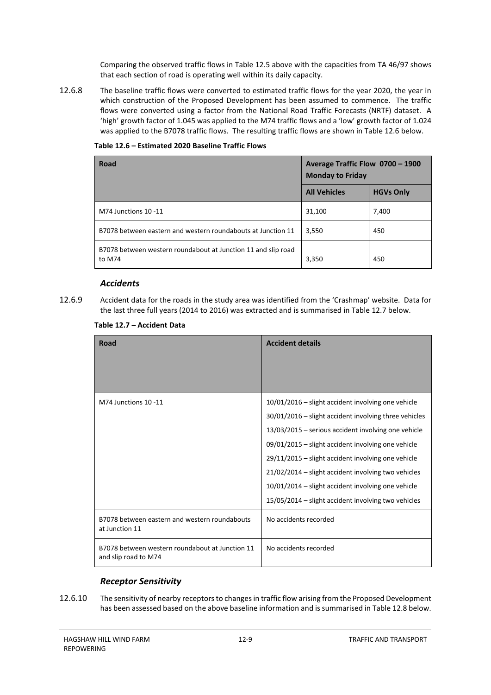Comparing the observed traffic flows in [Table 12.5](#page-9-0) [above](#page-9-0) with the capacities from TA 46/97 shows that each section of road is operating well within its daily capacity.

12.6.8 The baseline traffic flows were converted to estimated traffic flows for the year 2020, the year in which construction of the Proposed Development has been assumed to commence. The traffic flows were converted using a factor from the National Road Traffic Forecasts (NRTF) dataset. A 'high' growth factor of 1.045 was applied to the M74 traffic flows and a 'low' growth factor of 1.024 was applied to the B7078 traffic flows. The resulting traffic flows are shown in [Table 12.6](#page-10-0) [below.](#page-10-0)

| <b>Road</b>                                                             | Average Traffic Flow 0700 - 1900<br><b>Monday to Friday</b> |                  |
|-------------------------------------------------------------------------|-------------------------------------------------------------|------------------|
|                                                                         | <b>All Vehicles</b>                                         | <b>HGVs Only</b> |
| M74 Junctions 10 -11                                                    | 31,100                                                      | 7,400            |
| B7078 between eastern and western roundabouts at Junction 11            | 3,550                                                       | 450              |
| B7078 between western roundabout at Junction 11 and slip road<br>to M74 | 3,350                                                       | 450              |

### <span id="page-10-0"></span>**Table 12.6 – Estimated 2020 Baseline Traffic Flows**

## *Accidents*

<span id="page-10-1"></span>12.6.9 Accident data for the roads in the study area was identified from the 'Crashmap' website. Data for the last three full years (2014 to 2016) was extracted and is summarised i[n Table 12.7](#page-10-1) [below.](#page-10-1)

| Table 12.7 - Accident Data                                              |                                                                                                                                                                                                                                                                                                                                                                                                                                                    |  |  |  |  |
|-------------------------------------------------------------------------|----------------------------------------------------------------------------------------------------------------------------------------------------------------------------------------------------------------------------------------------------------------------------------------------------------------------------------------------------------------------------------------------------------------------------------------------------|--|--|--|--|
| <b>Road</b>                                                             | <b>Accident details</b>                                                                                                                                                                                                                                                                                                                                                                                                                            |  |  |  |  |
| M74 Junctions 10 -11                                                    | 10/01/2016 - slight accident involving one vehicle<br>30/01/2016 - slight accident involving three vehicles<br>13/03/2015 - serious accident involving one vehicle<br>09/01/2015 - slight accident involving one vehicle<br>29/11/2015 - slight accident involving one vehicle<br>21/02/2014 – slight accident involving two vehicles<br>10/01/2014 - slight accident involving one vehicle<br>15/05/2014 - slight accident involving two vehicles |  |  |  |  |
| B7078 between eastern and western roundabouts<br>at Junction 11         | No accidents recorded                                                                                                                                                                                                                                                                                                                                                                                                                              |  |  |  |  |
| B7078 between western roundabout at Junction 11<br>and slip road to M74 | No accidents recorded                                                                                                                                                                                                                                                                                                                                                                                                                              |  |  |  |  |

### *Receptor Sensitivity*

<span id="page-10-2"></span>12.6.10 The sensitivity of nearby receptors to changes in traffic flow arising from the Proposed Development has been assessed based on the above baseline information and is summarised in [Table 12.8](#page-10-2) [below.](#page-10-2)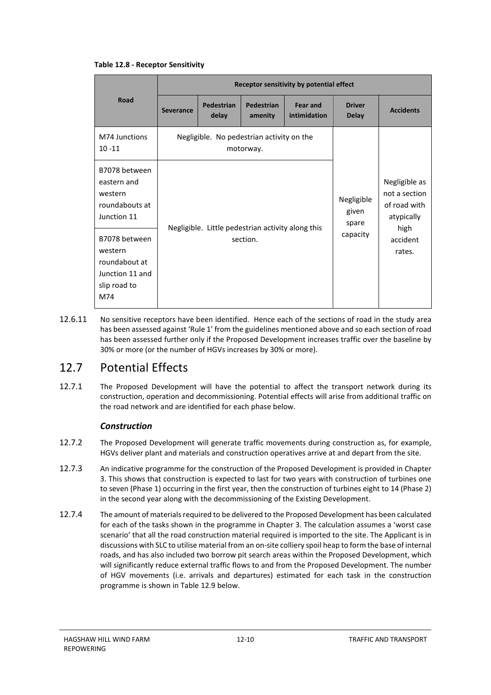### **Table 12.8 - Receptor Sensitivity**

|                                                                                     | Receptor sensitivity by potential effect                      |                                                        |                       |                                 |                               |                                                              |  |
|-------------------------------------------------------------------------------------|---------------------------------------------------------------|--------------------------------------------------------|-----------------------|---------------------------------|-------------------------------|--------------------------------------------------------------|--|
| Road                                                                                | <b>Severance</b>                                              | Pedestrian<br>delay                                    | Pedestrian<br>amenity | <b>Fear and</b><br>intimidation | <b>Driver</b><br><b>Delay</b> | <b>Accidents</b>                                             |  |
| M74 Junctions<br>$10 - 11$                                                          |                                                               | Negligible. No pedestrian activity on the<br>motorway. |                       |                                 |                               |                                                              |  |
| B7078 between<br>eastern and<br>western<br>roundabouts at<br>Junction 11            |                                                               |                                                        |                       |                                 |                               | Negligible as<br>not a section<br>of road with<br>atypically |  |
| B7078 between<br>western<br>roundabout at<br>Junction 11 and<br>slip road to<br>M74 | Negligible. Little pedestrian activity along this<br>section. |                                                        |                       |                                 | capacity                      | high<br>accident<br>rates.                                   |  |

12.6.11 No sensitive receptors have been identified. Hence each of the sections of road in the study area has been assessed against 'Rule 1' from the guidelines mentioned above and so each section of road has been assessed further only if the Proposed Development increases traffic over the baseline by 30% or more (or the number of HGVs increases by 30% or more).

## <span id="page-11-0"></span>12.7 Potential Effects

12.7.1 The Proposed Development will have the potential to affect the transport network during its construction, operation and decommissioning. Potential effects will arise from additional traffic on the road network and are identified for each phase below.

## *Construction*

- 12.7.2 The Proposed Development will generate traffic movements during construction as, for example, HGVs deliver plant and materials and construction operatives arrive at and depart from the site.
- 12.7.3 An indicative programme for the construction of the Proposed Development is provided in Chapter 3. This shows that construction is expected to last for two years with construction of turbines one to seven (Phase 1) occurring in the first year, then the construction of turbines eight to 14 (Phase 2) in the second year along with the decommissioning of the Existing Development.
- 12.7.4 The amount of materials required to be delivered to the Proposed Development has been calculated for each of the tasks shown in the programme in Chapter 3. The calculation assumes a 'worst case scenario' that all the road construction material required is imported to the site. The Applicant is in discussions with SLC to utilise material from an on-site colliery spoil heap to form the base of internal roads, and has also included two borrow pit search areas within the Proposed Development, which will significantly reduce external traffic flows to and from the Proposed Development. The number of HGV movements (i.e. arrivals and departures) estimated for each task in the construction programme is shown in [Table 12.9](#page-12-0) [below.](#page-12-0)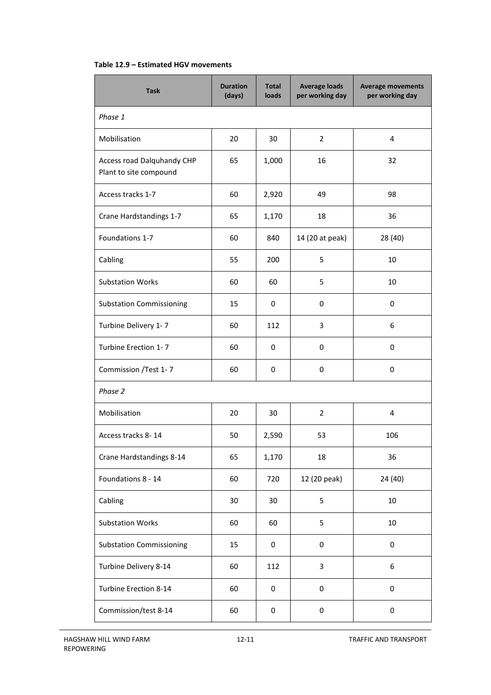#### <span id="page-12-0"></span>**Table 12.9 – Estimated HGV movements**

| <b>Task</b>                                          | <b>Duration</b><br>(days) | <b>Total</b><br>loads | <b>Average loads</b><br>per working day | <b>Average movements</b><br>per working day |
|------------------------------------------------------|---------------------------|-----------------------|-----------------------------------------|---------------------------------------------|
| Phase 1                                              |                           |                       |                                         |                                             |
| Mobilisation                                         | 20                        | 30                    | $\overline{2}$                          | 4                                           |
| Access road Dalquhandy CHP<br>Plant to site compound | 65                        | 1,000                 | 16                                      | 32                                          |
| Access tracks 1-7                                    | 60                        | 2,920                 | 49                                      | 98                                          |
| Crane Hardstandings 1-7                              | 65                        | 1,170                 | 18                                      | 36                                          |
| Foundations 1-7                                      | 60                        | 840                   | 14 (20 at peak)                         | 28 (40)                                     |
| Cabling                                              | 55                        | 200                   | 5                                       | 10                                          |
| <b>Substation Works</b>                              | 60                        | 60                    | 5                                       | 10                                          |
| <b>Substation Commissioning</b>                      | 15                        | 0                     | $\pmb{0}$                               | 0                                           |
| Turbine Delivery 1-7                                 | 60                        | 112                   | 3                                       | 6                                           |
| Turbine Erection 1-7                                 | 60                        | 0                     | 0                                       | 0                                           |
| Commission / Test 1-7                                | 60                        | 0                     | 0                                       | $\mathbf 0$                                 |
| Phase 2                                              |                           |                       |                                         |                                             |
| Mobilisation                                         | 20                        | 30                    | $\overline{2}$                          | 4                                           |
| Access tracks 8-14                                   | 50                        | 2,590                 | 53                                      | 106                                         |
| Crane Hardstandings 8-14                             | 65                        | 1,170                 | 18                                      | 36                                          |
| Foundations 8 - 14                                   | 60                        | 720                   | 12 (20 peak)                            | 24(40)                                      |
| Cabling                                              | 30                        | 30                    | 5                                       | 10                                          |
| <b>Substation Works</b>                              | 60                        | 60                    | 5                                       | 10                                          |
| <b>Substation Commissioning</b>                      | 15                        | 0                     | $\pmb{0}$                               | 0                                           |
| Turbine Delivery 8-14                                | 60                        | 112                   | 3                                       | 6                                           |
| Turbine Erection 8-14                                | 60                        | 0                     | $\pmb{0}$                               | 0                                           |
| Commission/test 8-14                                 | 60                        | 0                     | $\boldsymbol{0}$                        | 0                                           |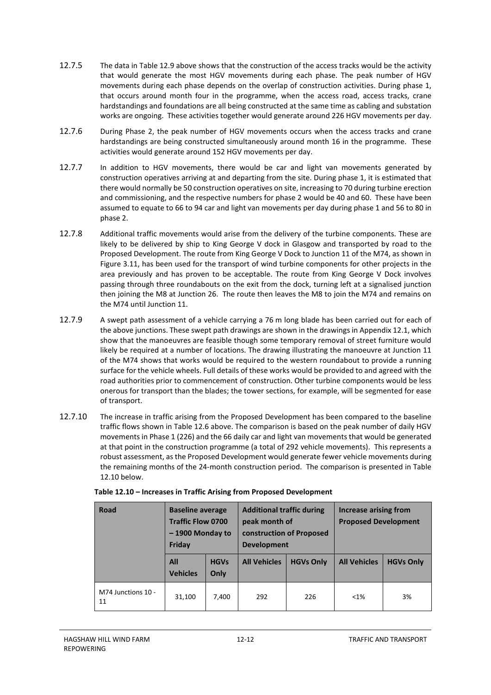- 12.7.5 The data in [Table 12.9](#page-12-0) [above](#page-12-0) shows that the construction of the access tracks would be the activity that would generate the most HGV movements during each phase. The peak number of HGV movements during each phase depends on the overlap of construction activities. During phase 1, that occurs around month four in the programme, when the access road, access tracks, crane hardstandings and foundations are all being constructed at the same time as cabling and substation works are ongoing. These activities together would generate around 226 HGV movements per day.
- 12.7.6 During Phase 2, the peak number of HGV movements occurs when the access tracks and crane hardstandings are being constructed simultaneously around month 16 in the programme. These activities would generate around 152 HGV movements per day.
- 12.7.7 In addition to HGV movements, there would be car and light van movements generated by construction operatives arriving at and departing from the site. During phase 1, it is estimated that there would normally be 50 construction operatives on site, increasing to 70 during turbine erection and commissioning, and the respective numbers for phase 2 would be 40 and 60. These have been assumed to equate to 66 to 94 car and light van movements per day during phase 1 and 56 to 80 in phase 2.
- 12.7.8 Additional traffic movements would arise from the delivery of the turbine components. These are likely to be delivered by ship to King George V dock in Glasgow and transported by road to the Proposed Development. The route from King George V Dock to Junction 11 of the M74, as shown in Figure 3.11, has been used for the transport of wind turbine components for other projects in the area previously and has proven to be acceptable. The route from King George V Dock involves passing through three roundabouts on the exit from the dock, turning left at a signalised junction then joining the M8 at Junction 26. The route then leaves the M8 to join the M74 and remains on the M74 until Junction 11.
- 12.7.9 A swept path assessment of a vehicle carrying a 76 m long blade has been carried out for each of the above junctions. These swept path drawings are shown in the drawings in Appendix 12.1, which show that the manoeuvres are feasible though some temporary removal of street furniture would likely be required at a number of locations. The drawing illustrating the manoeuvre at Junction 11 of the M74 shows that works would be required to the western roundabout to provide a running surface for the vehicle wheels. Full details of these works would be provided to and agreed with the road authorities prior to commencement of construction. Other turbine components would be less onerous for transport than the blades; the tower sections, for example, will be segmented for ease of transport.
- 12.7.10 The increase in traffic arising from the Proposed Development has been compared to the baseline traffic flows shown in [Table 12.6](#page-10-0) [above.](#page-10-0) The comparison is based on the peak number of daily HGV movements in Phase 1 (226) and the 66 daily car and light van movements that would be generated at that point in the construction programme (a total of 292 vehicle movements). This represents a robust assessment, as the Proposed Development would generate fewer vehicle movements during the remaining months of the 24-month construction period. The comparison is presented in [Table](#page-13-0)  [12.10](#page-13-0) [below.](#page-13-0)

| Road                     | <b>Baseline average</b><br><b>Traffic Flow 0700</b><br>$-1900$ Monday to<br>Friday |                     | <b>Additional traffic during</b><br>peak month of<br>construction of Proposed<br><b>Development</b> |                  | Increase arising from<br><b>Proposed Development</b> |                  |
|--------------------------|------------------------------------------------------------------------------------|---------------------|-----------------------------------------------------------------------------------------------------|------------------|------------------------------------------------------|------------------|
|                          | All<br><b>Vehicles</b>                                                             | <b>HGVs</b><br>Only | <b>All Vehicles</b>                                                                                 | <b>HGVs Only</b> | <b>All Vehicles</b>                                  | <b>HGVs Only</b> |
| M74 Junctions 10 -<br>11 | 31.100                                                                             | 7.400               | 292                                                                                                 | 226              | $< 1\%$                                              | 3%               |

<span id="page-13-0"></span>

| Table 12.10 - Increases in Traffic Arising from Proposed Development |  |  |  |
|----------------------------------------------------------------------|--|--|--|
|                                                                      |  |  |  |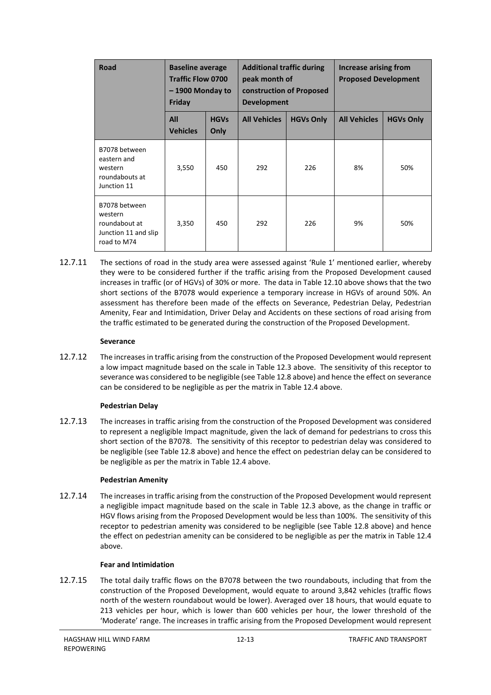| Road                                                                             | <b>Baseline average</b><br><b>Traffic Flow 0700</b><br>-1900 Monday to<br>Friday | <b>Additional traffic during</b><br><b>Increase arising from</b><br><b>Proposed Development</b><br>peak month of<br>construction of Proposed<br><b>Development</b> |     |                     |                  |     |
|----------------------------------------------------------------------------------|----------------------------------------------------------------------------------|--------------------------------------------------------------------------------------------------------------------------------------------------------------------|-----|---------------------|------------------|-----|
|                                                                                  | <b>All</b><br><b>Vehicles</b>                                                    | <b>All Vehicles</b><br><b>HGVs</b><br><b>HGVs Only</b><br>Only                                                                                                     |     | <b>All Vehicles</b> | <b>HGVs Only</b> |     |
| B7078 between<br>eastern and<br>western<br>roundabouts at<br>Junction 11         | 3,550                                                                            | 450                                                                                                                                                                | 292 | 226                 | 8%               | 50% |
| B7078 between<br>western<br>roundabout at<br>Junction 11 and slip<br>road to M74 | 3,350                                                                            | 450                                                                                                                                                                | 292 | 226                 | 9%               | 50% |

12.7.11 The sections of road in the study area were assessed against 'Rule 1' mentioned earlier, whereby they were to be considered further if the traffic arising from the Proposed Development caused increases in traffic (or of HGVs) of 30% or more. The data in [Table 12.10](#page-13-0) [above](#page-13-0) shows that the two short sections of the B7078 would experience a temporary increase in HGVs of around 50%. An assessment has therefore been made of the effects on Severance, Pedestrian Delay, Pedestrian Amenity, Fear and Intimidation, Driver Delay and Accidents on these sections of road arising from the traffic estimated to be generated during the construction of the Proposed Development.

#### **Severance**

12.7.12 The increases in traffic arising from the construction of the Proposed Development would represent a low impact magnitude based on the scale in [Table 12.3](#page-7-0) [above.](#page-7-0) The sensitivity of this receptor to severance was considered to be negligible (se[e Table 12.8](#page-10-2) [above\)](#page-10-2) and hence the effect on severance can be considered to be negligible as per the matrix i[n Table 12.4](#page-8-1) [above.](#page-8-1)

### **Pedestrian Delay**

12.7.13 The increases in traffic arising from the construction of the Proposed Development was considered to represent a negligible Impact magnitude, given the lack of demand for pedestrians to cross this short section of the B7078. The sensitivity of this receptor to pedestrian delay was considered to be negligible (se[e Table 12.8](#page-10-2) [above\)](#page-10-2) and hence the effect on pedestrian delay can be considered to be negligible as per the matrix i[n Table 12.4](#page-8-1) [above.](#page-8-1)

### **Pedestrian Amenity**

12.7.14 The increases in traffic arising from the construction of the Proposed Development would represent a negligible impact magnitude based on the scale in [Table 12.3](#page-7-0) [above,](#page-7-0) as the change in traffic or HGV flows arising from the Proposed Development would be less than 100%. The sensitivity of this receptor to pedestrian amenity was considered to be negligible (see [Table 12.8](#page-10-2) [above\)](#page-10-2) and hence the effect on pedestrian amenity can be considered to be negligible as per the matrix in [Table 12.4](#page-8-1) [above.](#page-8-1)

### **Fear and Intimidation**

12.7.15 The total daily traffic flows on the B7078 between the two roundabouts, including that from the construction of the Proposed Development, would equate to around 3,842 vehicles (traffic flows north of the western roundabout would be lower). Averaged over 18 hours, that would equate to 213 vehicles per hour, which is lower than 600 vehicles per hour, the lower threshold of the 'Moderate' range. The increases in traffic arising from the Proposed Development would represent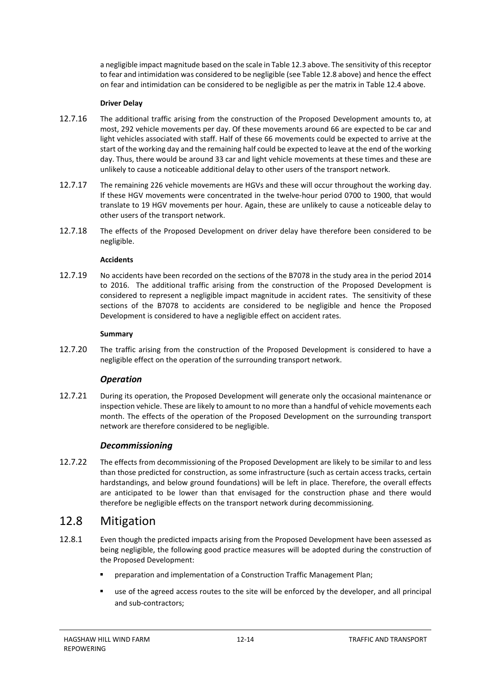a negligible impact magnitude based on the scale i[n Table 12.3](#page-7-0) [above.](#page-7-0) The sensitivity of this receptor to fear and intimidation was considered to be negligible (se[e Table 12.8](#page-10-2) [above\)](#page-10-2) and hence the effect on fear and intimidation can be considered to be negligible as per the matrix i[n Table 12.4](#page-8-1) [above.](#page-8-1)

## **Driver Delay**

- 12.7.16 The additional traffic arising from the construction of the Proposed Development amounts to, at most, 292 vehicle movements per day. Of these movements around 66 are expected to be car and light vehicles associated with staff. Half of these 66 movements could be expected to arrive at the start of the working day and the remaining half could be expected to leave at the end of the working day. Thus, there would be around 33 car and light vehicle movements at these times and these are unlikely to cause a noticeable additional delay to other users of the transport network.
- 12.7.17 The remaining 226 vehicle movements are HGVs and these will occur throughout the working day. If these HGV movements were concentrated in the twelve-hour period 0700 to 1900, that would translate to 19 HGV movements per hour. Again, these are unlikely to cause a noticeable delay to other users of the transport network.
- 12.7.18 The effects of the Proposed Development on driver delay have therefore been considered to be negligible.

### **Accidents**

12.7.19 No accidents have been recorded on the sections of the B7078 in the study area in the period 2014 to 2016. The additional traffic arising from the construction of the Proposed Development is considered to represent a negligible impact magnitude in accident rates. The sensitivity of these sections of the B7078 to accidents are considered to be negligible and hence the Proposed Development is considered to have a negligible effect on accident rates.

### **Summary**

12.7.20 The traffic arising from the construction of the Proposed Development is considered to have a negligible effect on the operation of the surrounding transport network.

## *Operation*

12.7.21 During its operation, the Proposed Development will generate only the occasional maintenance or inspection vehicle. These are likely to amount to no more than a handful of vehicle movements each month. The effects of the operation of the Proposed Development on the surrounding transport network are therefore considered to be negligible.

## *Decommissioning*

12.7.22 The effects from decommissioning of the Proposed Development are likely to be similar to and less than those predicted for construction, as some infrastructure (such as certain access tracks, certain hardstandings, and below ground foundations) will be left in place. Therefore, the overall effects are anticipated to be lower than that envisaged for the construction phase and there would therefore be negligible effects on the transport network during decommissioning.

## <span id="page-15-0"></span>12.8 Mitigation

- 12.8.1 Even though the predicted impacts arising from the Proposed Development have been assessed as being negligible, the following good practice measures will be adopted during the construction of the Proposed Development:
	- preparation and implementation of a Construction Traffic Management Plan;
	- use of the agreed access routes to the site will be enforced by the developer, and all principal and sub-contractors;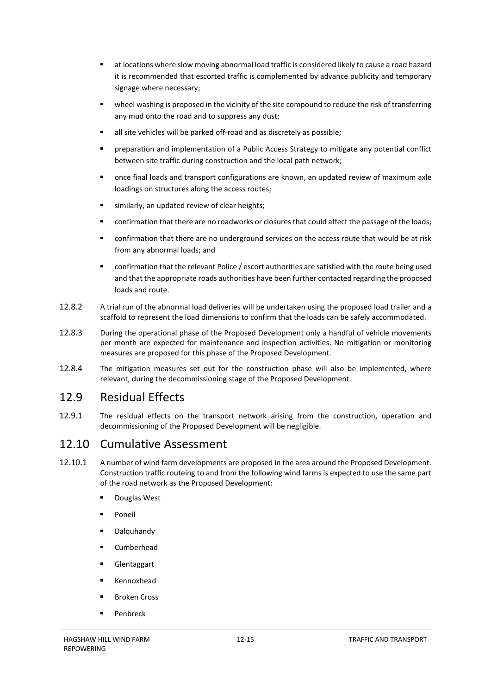- at locations where slow moving abnormal load traffic is considered likely to cause a road hazard it is recommended that escorted traffic is complemented by advance publicity and temporary signage where necessary;
- **•** wheel washing is proposed in the vicinity of the site compound to reduce the risk of transferring any mud onto the road and to suppress any dust;
- all site vehicles will be parked off-road and as discretely as possible;
- preparation and implementation of a Public Access Strategy to mitigate any potential conflict between site traffic during construction and the local path network;
- once final loads and transport configurations are known, an updated review of maximum axle loadings on structures along the access routes;
- similarly, an updated review of clear heights;
- confirmation that there are no roadworks or closures that could affect the passage of the loads;
- **•** confirmation that there are no underground services on the access route that would be at risk from any abnormal loads; and
- confirmation that the relevant Police / escort authorities are satisfied with the route being used and that the appropriate roads authorities have been further contacted regarding the proposed loads and route.
- 12.8.2 A trial run of the abnormal load deliveries will be undertaken using the proposed load trailer and a scaffold to represent the load dimensions to confirm that the loads can be safely accommodated.
- 12.8.3 During the operational phase of the Proposed Development only a handful of vehicle movements per month are expected for maintenance and inspection activities. No mitigation or monitoring measures are proposed for this phase of the Proposed Development.
- 12.8.4 The mitigation measures set out for the construction phase will also be implemented, where relevant, during the decommissioning stage of the Proposed Development.

## <span id="page-16-0"></span>12.9 Residual Effects

12.9.1 The residual effects on the transport network arising from the construction, operation and decommissioning of the Proposed Development will be negligible.

## <span id="page-16-1"></span>12.10 Cumulative Assessment

- 12.10.1 A number of wind farm developments are proposed in the area around the Proposed Development. Construction traffic routeing to and from the following wind farms is expected to use the same part of the road network as the Proposed Development:
	- **Douglas West**
	- Poneil
	- **Dalquhandy**
	- **Cumberhead**
	- **Glentaggart**
	- **E** Kennoxhead
	- **Broken Cross**
	- **Penbreck**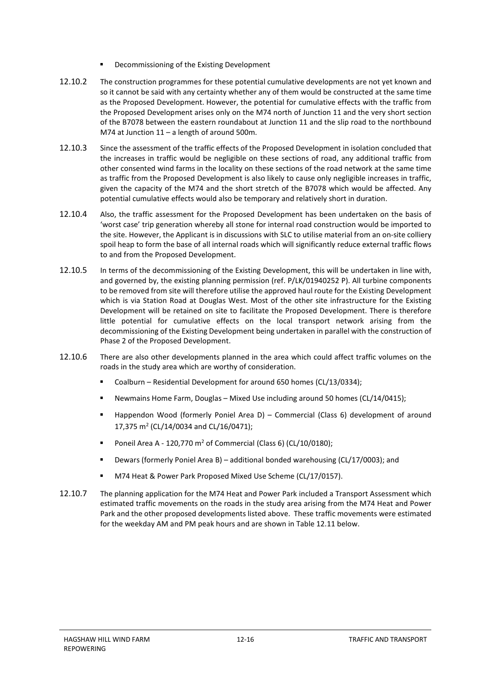- Decommissioning of the Existing Development
- 12.10.2 The construction programmes for these potential cumulative developments are not yet known and so it cannot be said with any certainty whether any of them would be constructed at the same time as the Proposed Development. However, the potential for cumulative effects with the traffic from the Proposed Development arises only on the M74 north of Junction 11 and the very short section of the B7078 between the eastern roundabout at Junction 11 and the slip road to the northbound M74 at Junction 11 – a length of around 500m.
- 12.10.3 Since the assessment of the traffic effects of the Proposed Development in isolation concluded that the increases in traffic would be negligible on these sections of road, any additional traffic from other consented wind farms in the locality on these sections of the road network at the same time as traffic from the Proposed Development is also likely to cause only negligible increases in traffic, given the capacity of the M74 and the short stretch of the B7078 which would be affected. Any potential cumulative effects would also be temporary and relatively short in duration.
- 12.10.4 Also, the traffic assessment for the Proposed Development has been undertaken on the basis of 'worst case' trip generation whereby all stone for internal road construction would be imported to the site. However, the Applicant is in discussions with SLC to utilise material from an on-site colliery spoil heap to form the base of all internal roads which will significantly reduce external traffic flows to and from the Proposed Development.
- 12.10.5 In terms of the decommissioning of the Existing Development, this will be undertaken in line with, and governed by, the existing planning permission (ref. P/LK/01940252 P). All turbine components to be removed from site will therefore utilise the approved haul route for the Existing Development which is via Station Road at Douglas West. Most of the other site infrastructure for the Existing Development will be retained on site to facilitate the Proposed Development. There is therefore little potential for cumulative effects on the local transport network arising from the decommissioning of the Existing Development being undertaken in parallel with the construction of Phase 2 of the Proposed Development.
- 12.10.6 There are also other developments planned in the area which could affect traffic volumes on the roads in the study area which are worthy of consideration.
	- Coalburn Residential Development for around 650 homes (CL/13/0334);
	- Newmains Home Farm, Douglas Mixed Use including around 50 homes (CL/14/0415);
	- Happendon Wood (formerly Poniel Area D) Commercial (Class 6) development of around 17,375 m2 (CL/14/0034 and CL/16/0471);
	- Poneil Area A 120,770 m2 of Commercial (Class 6) (CL/10/0180);
	- Dewars (formerly Poniel Area B) additional bonded warehousing (CL/17/0003); and
	- M74 Heat & Power Park Proposed Mixed Use Scheme [\(CL/17/0157\)](http://pbsportal.southlanarkshire.gov.uk/Northgate/PlanningExplorer/Generic/StdDetails.aspx?PT=Planning%20Applications%20On-Line&TYPE=PL/PlanningPK.xml&PARAM0=124665&XSLT=/Northgate/PlanningExplorer/SiteFiles/Skins/SouthLanarkshire/xslt/PL/PLDetails.xslt&FT=Planning%20Application%20Details&PUBLIC=Y&XMLSIDE=/Northgate/PlanningExplorer/SiteFiles/Skins/SouthLanarkshire/Menus/PL.xml&DAURI=PLANNING).
- <span id="page-17-0"></span>12.10.7 The planning application for the M74 Heat and Power Park included a Transport Assessment which estimated traffic movements on the roads in the study area arising from the M74 Heat and Power Park and the other proposed developments listed above. These traffic movements were estimated for the weekday AM and PM peak hours and are shown in Table 12.11 [below.](#page-17-0)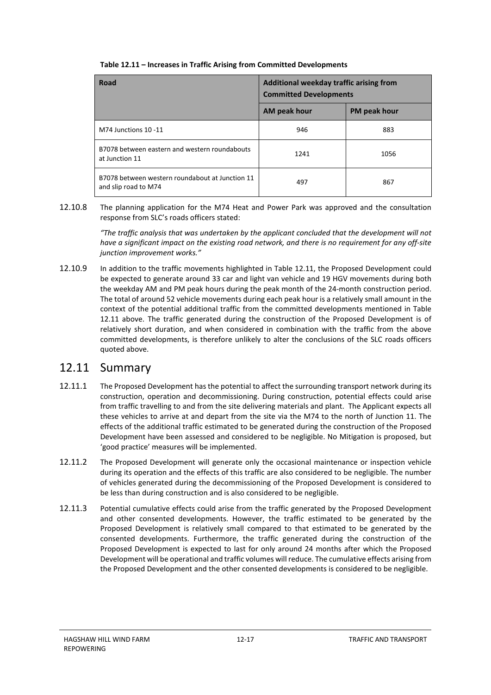### **Table 12.11 – Increases in Traffic Arising from Committed Developments**

| Road                                                                    | Additional weekday traffic arising from<br><b>Committed Developments</b> |              |  |  |
|-------------------------------------------------------------------------|--------------------------------------------------------------------------|--------------|--|--|
|                                                                         | AM peak hour                                                             | PM peak hour |  |  |
| M74 Junctions 10 -11                                                    | 946                                                                      | 883          |  |  |
| B7078 between eastern and western roundabouts<br>at Junction 11         | 1241                                                                     | 1056         |  |  |
| B7078 between western roundabout at Junction 11<br>and slip road to M74 | 497                                                                      | 867          |  |  |

12.10.8 The planning application for the M74 Heat and Power Park was approved and the consultation response from SLC's roads officers stated:

> *"The traffic analysis that was undertaken by the applicant concluded that the development will not have a significant impact on the existing road network, and there is no requirement for any off-site junction improvement works."*

12.10.9 In addition to the traffic movements highlighted in Table 12.11, the Proposed Development could be expected to generate around 33 car and light van vehicle and 19 HGV movements during both the weekday AM and PM peak hours during the peak month of the 24-month construction period. The total of around 52 vehicle movements during each peak hour is a relatively small amount in the context of the potential additional traffic from the committed developments mentioned in Table 12.11 above. The traffic generated during the construction of the Proposed Development is of relatively short duration, and when considered in combination with the traffic from the above committed developments, is therefore unlikely to alter the conclusions of the SLC roads officers quoted above.

## <span id="page-18-0"></span>12.11 Summary

- 12.11.1 The Proposed Development has the potential to affect the surrounding transport network during its construction, operation and decommissioning. During construction, potential effects could arise from traffic travelling to and from the site delivering materials and plant. The Applicant expects all these vehicles to arrive at and depart from the site via the M74 to the north of Junction 11. The effects of the additional traffic estimated to be generated during the construction of the Proposed Development have been assessed and considered to be negligible. No Mitigation is proposed, but 'good practice' measures will be implemented.
- 12.11.2 The Proposed Development will generate only the occasional maintenance or inspection vehicle during its operation and the effects of this traffic are also considered to be negligible. The number of vehicles generated during the decommissioning of the Proposed Development is considered to be less than during construction and is also considered to be negligible.
- 12.11.3 Potential cumulative effects could arise from the traffic generated by the Proposed Development and other consented developments. However, the traffic estimated to be generated by the Proposed Development is relatively small compared to that estimated to be generated by the consented developments. Furthermore, the traffic generated during the construction of the Proposed Development is expected to last for only around 24 months after which the Proposed Development will be operational and traffic volumes will reduce. The cumulative effects arising from the Proposed Development and the other consented developments is considered to be negligible.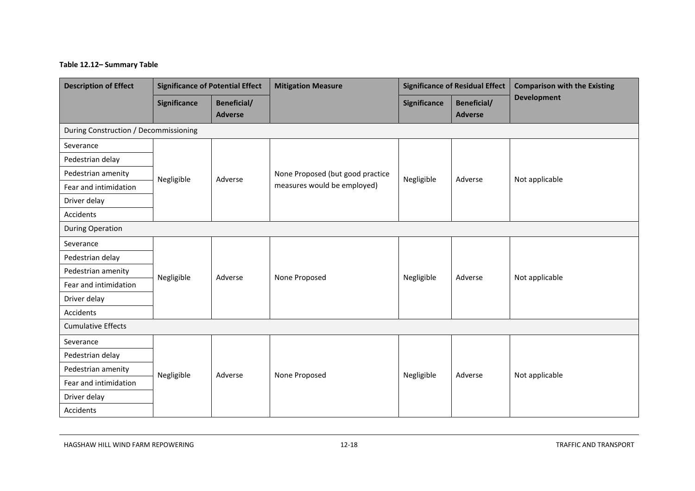#### **Table 12.12– Summary Table**

| <b>Description of Effect</b>          | <b>Significance of Potential Effect</b> |                                      | <b>Mitigation Measure</b>        | <b>Significance of Residual Effect</b> |                                      | <b>Comparison with the Existing</b> |
|---------------------------------------|-----------------------------------------|--------------------------------------|----------------------------------|----------------------------------------|--------------------------------------|-------------------------------------|
|                                       | Significance                            | <b>Beneficial/</b><br><b>Adverse</b> |                                  | Significance                           | <b>Beneficial/</b><br><b>Adverse</b> | <b>Development</b>                  |
| During Construction / Decommissioning |                                         |                                      |                                  |                                        |                                      |                                     |
| Severance                             |                                         |                                      |                                  |                                        |                                      |                                     |
| Pedestrian delay                      |                                         |                                      |                                  |                                        |                                      |                                     |
| Pedestrian amenity                    | Negligible                              | Adverse                              | None Proposed (but good practice | Negligible                             | Adverse                              | Not applicable                      |
| Fear and intimidation                 |                                         |                                      | measures would be employed)      |                                        |                                      |                                     |
| Driver delay                          |                                         |                                      |                                  |                                        |                                      |                                     |
| Accidents                             |                                         |                                      |                                  |                                        |                                      |                                     |
| <b>During Operation</b>               |                                         |                                      |                                  |                                        |                                      |                                     |
| Severance                             |                                         |                                      |                                  |                                        |                                      |                                     |
| Pedestrian delay                      |                                         |                                      |                                  |                                        |                                      |                                     |
| Pedestrian amenity                    | Negligible                              | Adverse                              | None Proposed                    | Negligible                             | Adverse                              | Not applicable                      |
| Fear and intimidation                 |                                         |                                      |                                  |                                        |                                      |                                     |
| Driver delay                          |                                         |                                      |                                  |                                        |                                      |                                     |
| Accidents                             |                                         |                                      |                                  |                                        |                                      |                                     |
| <b>Cumulative Effects</b>             |                                         |                                      |                                  |                                        |                                      |                                     |
| Severance                             |                                         |                                      |                                  |                                        |                                      |                                     |
| Pedestrian delay                      |                                         |                                      |                                  |                                        |                                      |                                     |
| Pedestrian amenity                    |                                         | Adverse                              | None Proposed                    |                                        | Adverse                              |                                     |
| Fear and intimidation                 | Negligible                              |                                      |                                  | Negligible                             |                                      | Not applicable                      |
| Driver delay                          |                                         |                                      |                                  |                                        |                                      |                                     |
| Accidents                             |                                         |                                      |                                  |                                        |                                      |                                     |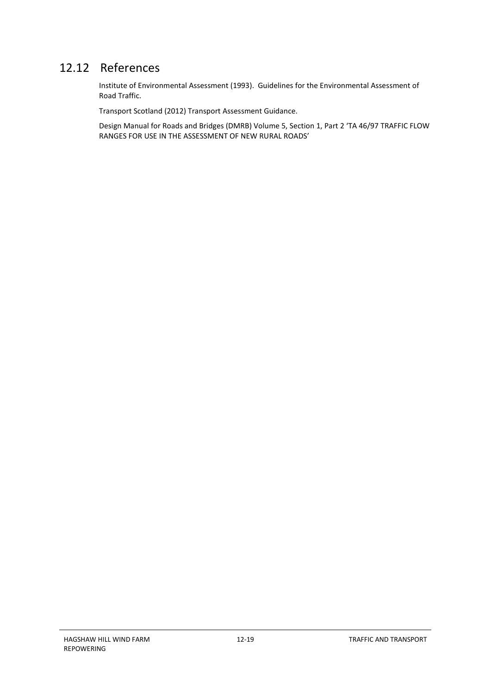## <span id="page-20-0"></span>12.12 References

Institute of Environmental Assessment (1993). Guidelines for the Environmental Assessment of Road Traffic.

Transport Scotland (2012) Transport Assessment Guidance.

Design Manual for Roads and Bridges (DMRB) Volume 5, Section 1, Part 2 'TA 46/97 TRAFFIC FLOW RANGES FOR USE IN THE ASSESSMENT OF NEW RURAL ROADS'